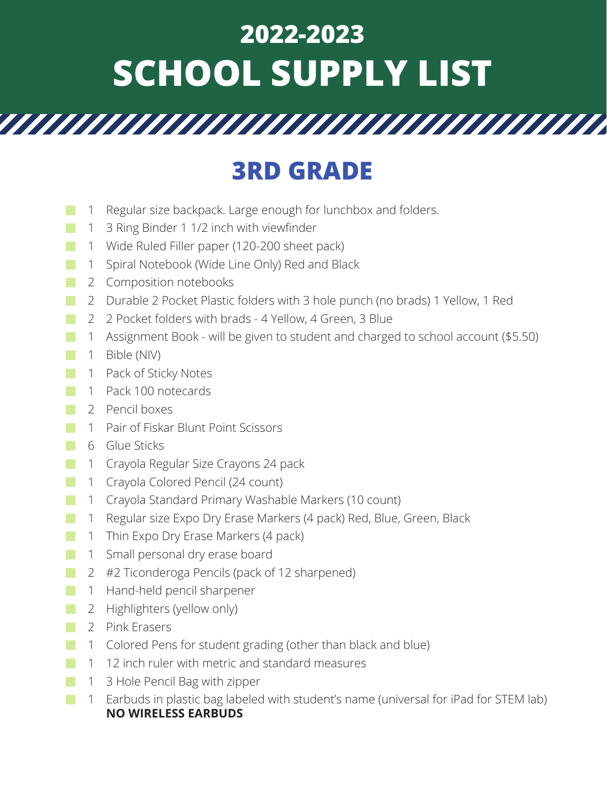## **2022-2023 SCHOOL SUPPLY LIST**

## **3RD GRADE**

- Regular size backpack. Large enough for lunchbox and folders. 1
- 3 Ring Binder 1 1/2 inch with viewfinder 1 **■**
- Wide Ruled Filler paper (120-200 sheet pack) 1 **■**
- 1 Spiral Notebook (Wide Line Only) Red and Black
- 2 Composition notebooks **■**
- 2 Durable 2 Pocket Plastic folders with 3 hole punch (no brads) 1 Yellow, 1 Red
- 2 Pocket folders with brads 4 Yellow, 4 Green, 3 Blue 2 **■**
- Assignment Book will be given to student and charged to school account (\$5.50) 1
- Bible (NIV) 1 **■**
- 1 Pack of Sticky Notes **■**
- Pack 100 notecards 1 **■**
- 2 Pencil boxes
- Pair of Fiskar Blunt Point Scissors 1
- Glue Sticks 6 **■**
- Crayola Regular Size Crayons 24 pack 1 **■**
- Crayola Colored Pencil (24 count) 1
- Crayola Standard Primary Washable Markers (10 count) 1 **■**
- Regular size Expo Dry Erase Markers (4 pack) Red, Blue, Green, Black 1 **■**
- 1 Thin Expo Dry Erase Markers (4 pack) **■**
- Small personal dry erase board 1 **■**
- #2 Ticonderoga Pencils (pack of 12 sharpened) 2
- 1 Hand-held pencil sharpener **■**
- 2 Highlighters (yellow only)
- 2 Pink Erasers **■**
- Colored Pens for student grading (other than black and blue) 1
- 12 inch ruler with metric and standard measures 1
- 3 Hole Pencil Bag with zipper 1
- Earbuds in plastic bag labeled with student's name (universal for iPad for STEM lab) 1**NO WIRELESS EARBUDS**